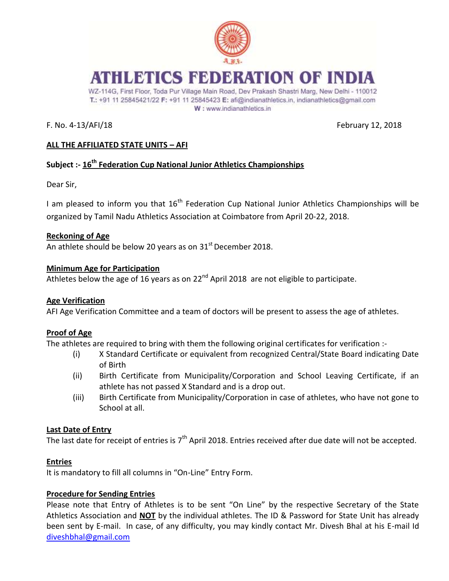

# ATHLETICS FEDERATION OF INDIA

WZ-114G, First Floor, Toda Pur Village Main Road, Dev Prakash Shastri Marg, New Delhi - 110012 T.: +91 11 25845421/22 F: +91 11 25845423 E: afi@indianathletics.in, indianathletics@gmail.com W: www.indianathletics.in

F. No. 4-13/AFI/18 February 12, 2018

## **ALL THE AFFILIATED STATE UNITS – AFI**

## **Subject :- 16th Federation Cup National Junior Athletics Championships**

Dear Sir,

I am pleased to inform you that  $16<sup>th</sup>$  Federation Cup National Junior Athletics Championships will be organized by Tamil Nadu Athletics Association at Coimbatore from April 20-22, 2018.

## **Reckoning of Age**

An athlete should be below 20 years as on  $31<sup>st</sup>$  December 2018.

## **Minimum Age for Participation**

Athletes below the age of 16 years as on  $22<sup>nd</sup>$  April 2018 are not eligible to participate.

## **Age Verification**

AFI Age Verification Committee and a team of doctors will be present to assess the age of athletes.

## **Proof of Age**

The athletes are required to bring with them the following original certificates for verification :-

- (i) X Standard Certificate or equivalent from recognized Central/State Board indicating Date of Birth
- (ii) Birth Certificate from Municipality/Corporation and School Leaving Certificate, if an athlete has not passed X Standard and is a drop out.
- (iii) Birth Certificate from Municipality/Corporation in case of athletes, who have not gone to School at all.

## **Last Date of Entry**

The last date for receipt of entries is 7<sup>th</sup> April 2018. Entries received after due date will not be accepted.

#### **Entries**

It is mandatory to fill all columns in "On-Line" Entry Form.

## **Procedure for Sending Entries**

Please note that Entry of Athletes is to be sent "On Line" by the respective Secretary of the State Athletics Association and **NOT** by the individual athletes. The ID & Password for State Unit has already been sent by E-mail. In case, of any difficulty, you may kindly contact Mr. Divesh Bhal at his E-mail Id [diveshbhal@gmail.com](mailto:diveshbhal@gmail.com)